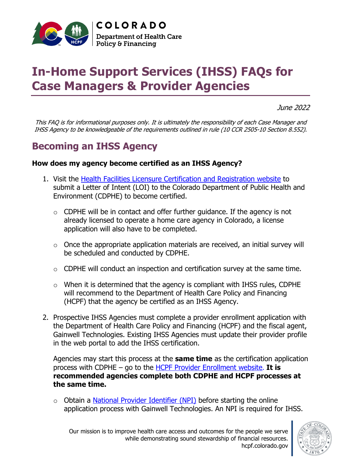

# **In-Home Support Services (IHSS) FAQs for Case Managers & Provider Agencies**

June 2022

This FAQ is for informational purposes only. It is ultimately the responsibility of each Case Manager and IHSS Agency to be knowledgeable of the requirements outlined in rule (10 CCR 2505-10 Section 8.552).

# **Becoming an IHSS Agency**

#### **How does my agency become certified as an IHSS Agency?**

- 1. Visit the Health Facilities Licensure [Certification and Registration website](https://cdphe.colorado.gov/health-facilities-licensure-certification-and-registration) to submit a Letter of Intent (LOI) to the Colorado Department of Public Health and Environment (CDPHE) to become certified.
	- $\circ$  CDPHE will be in contact and offer further guidance. If the agency is not already licensed to operate a home care agency in Colorado, a license application will also have to be completed.
	- $\circ$  Once the appropriate application materials are received, an initial survey will be scheduled and conducted by CDPHE.
	- $\circ$  CDPHE will conduct an inspection and certification survey at the same time.
	- $\circ$  When it is determined that the agency is compliant with IHSS rules, CDPHE will recommend to the Department of Health Care Policy and Financing (HCPF) that the agency be certified as an IHSS Agency.
- 2. Prospective IHSS Agencies must complete a provider enrollment application with the Department of Health Care Policy and Financing (HCPF) and the fiscal agent, Gainwell Technologies. Existing IHSS Agencies must update their provider profile in the web portal to add the IHSS certification.

Agencies may start this process at the **same time** as the certification application process with CDPHE – go to the [HCPF Provider Enrollment website.](https://hcpf.colorado.gov/provider-enrollment) **It is recommended agencies complete both CDPHE and HCPF processes at the same time.**

 $\circ$  Obtain a **National Provider Identifier (NPI)** before starting the online application process with Gainwell Technologies. An NPI is required for IHSS.

Our mission is to improve health care access and outcomes for the people we serve while demonstrating sound stewardship of financial resources. hcpf.colorado.gov

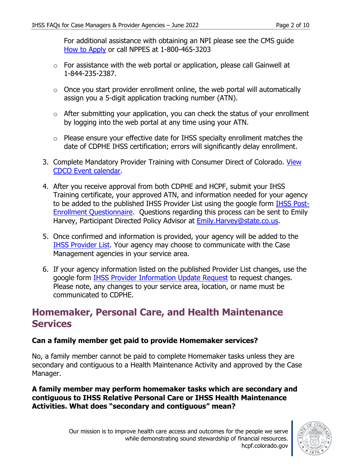For additional assistance with obtaining an NPI please see the CMS guide [How to Apply](https://www.cms.gov/Regulations-and-Guidance/Administrative-Simplification/NationalProvIdentStand/apply) or call NPPES at 1-800-465-3203

- $\circ$  For assistance with the web portal or application, please call Gainwell at 1-844-235-2387.
- $\circ$  Once you start provider enrollment online, the web portal will automatically assign you a 5-digit application tracking number (ATN).
- $\circ$  After submitting your application, you can check the status of your enrollment by logging into the web portal at any time using your ATN.
- o Please ensure your effective date for IHSS specialty enrollment matches the date of CDPHE IHSS certification; errors will significantly delay enrollment.
- 3. Complete Mandatory Provider Training with Consumer Direct of Colorado. [View](https://consumerdirectco.com/schedule/)  [CDCO Event calendar.](https://consumerdirectco.com/schedule/)
- 4. After you receive approval from both CDPHE and HCPF, submit your IHSS Training certificate, your approved ATN, and information needed for your agency to be added to the published IHSS Provider List using the google form **[IHSS Post-](https://docs.google.com/forms/d/e/1FAIpQLScobLgMLuTfWFo6zHOdZfll_P4-kzJII6QgZVmEWcHcT6US2g/viewform?usp=sf_link)**[Enrollment Questionnaire.](https://docs.google.com/forms/d/e/1FAIpQLScobLgMLuTfWFo6zHOdZfll_P4-kzJII6QgZVmEWcHcT6US2g/viewform?usp=sf_link) Questions regarding this process can be sent to Emily Harvey, Participant Directed Policy Advisor at [Emily.Harvey@state.co.us.](mailto:Emily.Harvey@state.co.us)
- 5. Once confirmed and information is provided, your agency will be added to the [IHSS Provider List.](https://hcpf.colorado.gov/ihss-provider-list) Your agency may choose to communicate with the Case Management agencies in your service area.
- 6. If your agency information listed on the published Provider List changes, use the google form [IHSS Provider Information Update Request](https://forms.gle/HVu1FFcbzz3KsuTv7) to request changes. Please note, any changes to your service area, location, or name must be communicated to CDPHE.

# **Homemaker, Personal Care, and Health Maintenance Services**

# **Can a family member get paid to provide Homemaker services?**

No, a family member cannot be paid to complete Homemaker tasks unless they are secondary and contiguous to a Health Maintenance Activity and approved by the Case Manager.

#### **A family member may perform homemaker tasks which are secondary and contiguous to IHSS Relative Personal Care or IHSS Health Maintenance Activities. What does "secondary and contiguous" mean?**

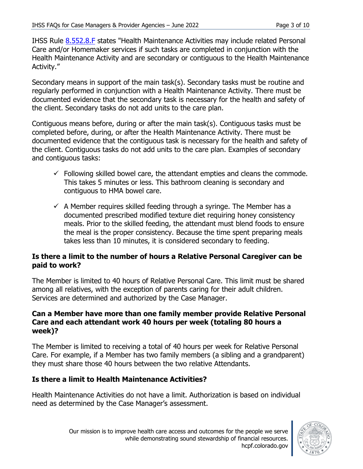IHSS Rule [8.552.8.F](https://www.sos.state.co.us/CCR/GenerateRulePdf.do?ruleVersionId=8773&fileName=10%20CCR%202505-10%208.500) states "Health Maintenance Activities may include related Personal Care and/or Homemaker services if such tasks are completed in conjunction with the Health Maintenance Activity and are secondary or contiguous to the Health Maintenance Activity."

Secondary means in support of the main task(s). Secondary tasks must be routine and regularly performed in conjunction with a Health Maintenance Activity. There must be documented evidence that the secondary task is necessary for the health and safety of the client. Secondary tasks do not add units to the care plan.

Contiguous means before, during or after the main task(s). Contiguous tasks must be completed before, during, or after the Health Maintenance Activity. There must be documented evidence that the contiguous task is necessary for the health and safety of the client. Contiguous tasks do not add units to the care plan. Examples of secondary and contiguous tasks:

- $\checkmark$  Following skilled bowel care, the attendant empties and cleans the commode. This takes 5 minutes or less. This bathroom cleaning is secondary and contiguous to HMA bowel care.
- $\checkmark$  A Member requires skilled feeding through a syringe. The Member has a documented prescribed modified texture diet requiring honey consistency meals. Prior to the skilled feeding, the attendant must blend foods to ensure the meal is the proper consistency. Because the time spent preparing meals takes less than 10 minutes, it is considered secondary to feeding.

#### **Is there a limit to the number of hours a Relative Personal Caregiver can be paid to work?**

The Member is limited to 40 hours of Relative Personal Care. This limit must be shared among all relatives, with the exception of parents caring for their adult children. Services are determined and authorized by the Case Manager.

#### **Can a Member have more than one family member provide Relative Personal Care and each attendant work 40 hours per week (totaling 80 hours a week)?**

The Member is limited to receiving a total of 40 hours per week for Relative Personal Care. For example, if a Member has two family members (a sibling and a grandparent) they must share those 40 hours between the two relative Attendants.

# **Is there a limit to Health Maintenance Activities?**

Health Maintenance Activities do not have a limit. Authorization is based on individual need as determined by the Case Manager's assessment.

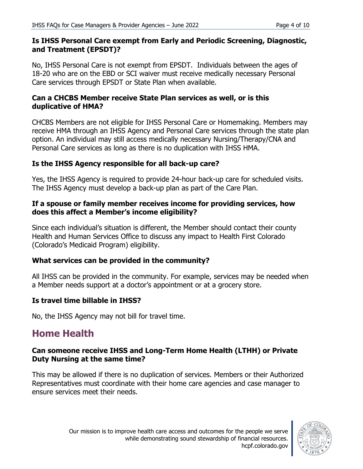#### **Is IHSS Personal Care exempt from Early and Periodic Screening, Diagnostic, and Treatment (EPSDT)?**

No, IHSS Personal Care is not exempt from EPSDT. Individuals between the ages of 18-20 who are on the EBD or SCI waiver must receive medically necessary Personal Care services through EPSDT or State Plan when available.

# **Can a CHCBS Member receive State Plan services as well, or is this duplicative of HMA?**

CHCBS Members are not eligible for IHSS Personal Care or Homemaking. Members may receive HMA through an IHSS Agency and Personal Care services through the state plan option. An individual may still access medically necessary Nursing/Therapy/CNA and Personal Care services as long as there is no duplication with IHSS HMA.

# **Is the IHSS Agency responsible for all back-up care?**

Yes, the IHSS Agency is required to provide 24-hour back-up care for scheduled visits. The IHSS Agency must develop a back-up plan as part of the Care Plan.

#### **If a spouse or family member receives income for providing services, how does this affect a Member's income eligibility?**

Since each individual's situation is different, the Member should contact their county Health and Human Services Office to discuss any impact to Health First Colorado (Colorado's Medicaid Program) eligibility.

# **What services can be provided in the community?**

All IHSS can be provided in the community. For example, services may be needed when a Member needs support at a doctor's appointment or at a grocery store.

# **Is travel time billable in IHSS?**

No, the IHSS Agency may not bill for travel time.

# **Home Health**

#### **Can someone receive IHSS and Long-Term Home Health (LTHH) or Private Duty Nursing at the same time?**

This may be allowed if there is no duplication of services. Members or their Authorized Representatives must coordinate with their home care agencies and case manager to ensure services meet their needs.

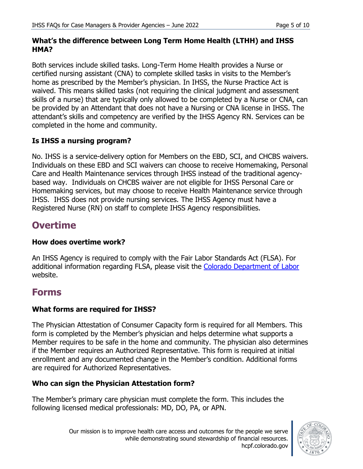#### **What's the difference between Long Term Home Health (LTHH) and IHSS HMA?**

Both services include skilled tasks. Long-Term Home Health provides a Nurse or certified nursing assistant (CNA) to complete skilled tasks in visits to the Member's home as prescribed by the Member's physician. In IHSS, the Nurse Practice Act is waived. This means skilled tasks (not requiring the clinical judgment and assessment skills of a nurse) that are typically only allowed to be completed by a Nurse or CNA, can be provided by an Attendant that does not have a Nursing or CNA license in IHSS. The attendant's skills and competency are verified by the IHSS Agency RN. Services can be completed in the home and community.

# **Is IHSS a nursing program?**

No. IHSS is a service-delivery option for Members on the EBD, SCI, and CHCBS waivers. Individuals on these EBD and SCI waivers can choose to receive Homemaking, Personal Care and Health Maintenance services through IHSS instead of the traditional agencybased way. Individuals on CHCBS waiver are not eligible for IHSS Personal Care or Homemaking services, but may choose to receive Health Maintenance service through IHSS. IHSS does not provide nursing services. The IHSS Agency must have a Registered Nurse (RN) on staff to complete IHSS Agency responsibilities.

# **Overtime**

# **How does overtime work?**

An IHSS Agency is required to comply with the Fair Labor Standards Act (FLSA). For additional information regarding FLSA, please visit the [Colorado Department of Labor](https://www.colorado.gov/pacific/cdle/overtime) website.

# **Forms**

# **What forms are required for IHSS?**

The Physician Attestation of Consumer Capacity form is required for all Members. This form is completed by the Member's physician and helps determine what supports a Member requires to be safe in the home and community. The physician also determines if the Member requires an Authorized Representative. This form is required at initial enrollment and any documented change in the Member's condition. Additional forms are required for Authorized Representatives.

# **Who can sign the Physician Attestation form?**

The Member's primary care physician must complete the form. This includes the following licensed medical professionals: MD, DO, PA, or APN.

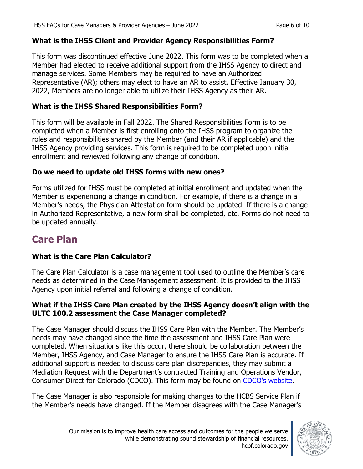#### **What is the IHSS Client and Provider Agency Responsibilities Form?**

This form was discontinued effective June 2022. This form was to be completed when a Member had elected to receive additional support from the IHSS Agency to direct and manage services. Some Members may be required to have an Authorized Representative (AR); others may elect to have an AR to assist. Effective January 30, 2022, Members are no longer able to utilize their IHSS Agency as their AR.

#### **What is the IHSS Shared Responsibilities Form?**

This form will be available in Fall 2022. The Shared Responsibilities Form is to be completed when a Member is first enrolling onto the IHSS program to organize the roles and responsibilities shared by the Member (and their AR if applicable) and the IHSS Agency providing services. This form is required to be completed upon initial enrollment and reviewed following any change of condition.

#### **Do we need to update old IHSS forms with new ones?**

Forms utilized for IHSS must be completed at initial enrollment and updated when the Member is experiencing a change in condition. For example, if there is a change in a Member's needs, the Physician Attestation form should be updated. If there is a change in Authorized Representative, a new form shall be completed, etc. Forms do not need to be updated annually.

# **Care Plan**

# **What is the Care Plan Calculator?**

The Care Plan Calculator is a case management tool used to outline the Member's care needs as determined in the Case Management assessment. It is provided to the IHSS Agency upon initial referral and following a change of condition.

#### **What if the IHSS Care Plan created by the IHSS Agency doesn't align with the ULTC 100.2 assessment the Case Manager completed?**

The Case Manager should discuss the IHSS Care Plan with the Member. The Member's needs may have changed since the time the assessment and IHSS Care Plan were completed. When situations like this occur, there should be collaboration between the Member, IHSS Agency, and Case Manager to ensure the IHSS Care Plan is accurate. If additional support is needed to discuss care plan discrepancies, they may submit a Mediation Request with the Department's contracted Training and Operations Vendor, Consumer Direct for Colorado (CDCO). This form may be found on [CDCO's website.](https://consumerdirectco.com/)

The Case Manager is also responsible for making changes to the HCBS Service Plan if the Member's needs have changed. If the Member disagrees with the Case Manager's

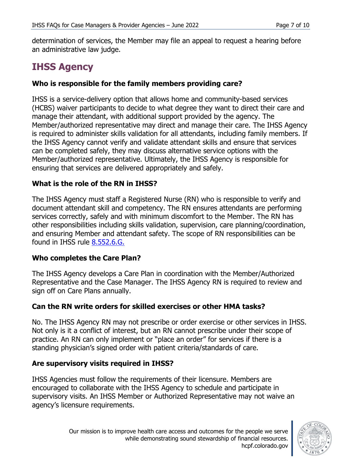determination of services, the Member may file an appeal to request a hearing before an administrative law judge.

# **IHSS Agency**

# **Who is responsible for the family members providing care?**

IHSS is a service-delivery option that allows home and community-based services (HCBS) waiver participants to decide to what degree they want to direct their care and manage their attendant, with additional support provided by the agency. The Member/authorized representative may direct and manage their care. The IHSS Agency is required to administer skills validation for all attendants, including family members. If the IHSS Agency cannot verify and validate attendant skills and ensure that services can be completed safely, they may discuss alternative service options with the Member/authorized representative. Ultimately, the IHSS Agency is responsible for ensuring that services are delivered appropriately and safely.

# **What is the role of the RN in IHSS?**

The IHSS Agency must staff a Registered Nurse (RN) who is responsible to verify and document attendant skill and competency. The RN ensures attendants are performing services correctly, safely and with minimum discomfort to the Member. The RN has other responsibilities including skills validation, supervision, care planning/coordination, and ensuring Member and attendant safety. The scope of RN responsibilities can be found in IHSS rule [8.552.6.G.](https://www.sos.state.co.us/CCR/GenerateRulePdf.do?ruleVersionId=8773&fileName=10%20CCR%202505-10%208.500)

# **Who completes the Care Plan?**

The IHSS Agency develops a Care Plan in coordination with the Member/Authorized Representative and the Case Manager. The IHSS Agency RN is required to review and sign off on Care Plans annually.

# **Can the RN write orders for skilled exercises or other HMA tasks?**

No. The IHSS Agency RN may not prescribe or order exercise or other services in IHSS. Not only is it a conflict of interest, but an RN cannot prescribe under their scope of practice. An RN can only implement or "place an order" for services if there is a standing physician's signed order with patient criteria/standards of care.

# **Are supervisory visits required in IHSS?**

IHSS Agencies must follow the requirements of their licensure. Members are encouraged to collaborate with the IHSS Agency to schedule and participate in supervisory visits. An IHSS Member or Authorized Representative may not waive an agency's licensure requirements.

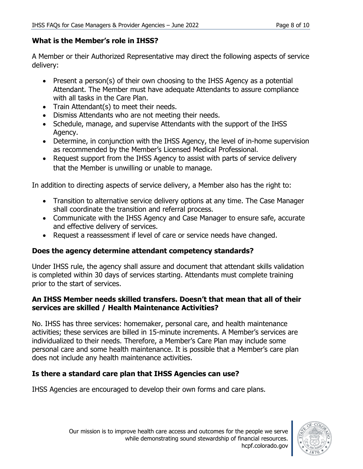# **What is the Member's role in IHSS?**

A Member or their Authorized Representative may direct the following aspects of service delivery:

- Present a person(s) of their own choosing to the IHSS Agency as a potential Attendant. The Member must have adequate Attendants to assure compliance with all tasks in the Care Plan.
- Train Attendant(s) to meet their needs.
- Dismiss Attendants who are not meeting their needs.
- Schedule, manage, and supervise Attendants with the support of the IHSS Agency.
- Determine, in conjunction with the IHSS Agency, the level of in-home supervision as recommended by the Member's Licensed Medical Professional.
- Request support from the IHSS Agency to assist with parts of service delivery that the Member is unwilling or unable to manage.

In addition to directing aspects of service delivery, a Member also has the right to:

- Transition to alternative service delivery options at any time. The Case Manager shall coordinate the transition and referral process.
- Communicate with the IHSS Agency and Case Manager to ensure safe, accurate and effective delivery of services.
- Request a reassessment if level of care or service needs have changed.

# **Does the agency determine attendant competency standards?**

Under IHSS rule, the agency shall assure and document that attendant skills validation is completed within 30 days of services starting. Attendants must complete training prior to the start of services.

#### **An IHSS Member needs skilled transfers. Doesn't that mean that all of their services are skilled / Health Maintenance Activities?**

No. IHSS has three services: homemaker, personal care, and health maintenance activities; these services are billed in 15-minute increments. A Member's services are individualized to their needs. Therefore, a Member's Care Plan may include some personal care and some health maintenance. It is possible that a Member's care plan does not include any health maintenance activities.

# **Is there a standard care plan that IHSS Agencies can use?**

IHSS Agencies are encouraged to develop their own forms and care plans.

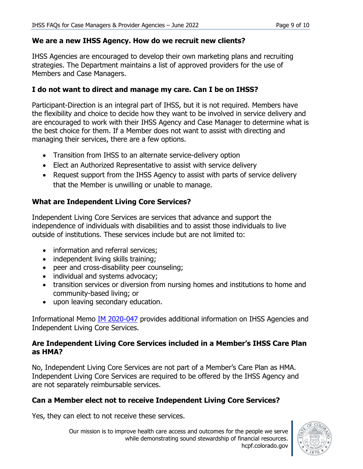#### **We are a new IHSS Agency. How do we recruit new clients?**

IHSS Agencies are encouraged to develop their own marketing plans and recruiting strategies. The Department maintains a list of approved providers for the use of Members and Case Managers.

#### **I do not want to direct and manage my care. Can I be on IHSS?**

Participant-Direction is an integral part of IHSS, but it is not required. Members have the flexibility and choice to decide how they want to be involved in service delivery and are encouraged to work with their IHSS Agency and Case Manager to determine what is the best choice for them. If a Member does not want to assist with directing and managing their services, there are a few options.

- Transition from IHSS to an alternate service-delivery option
- Elect an Authorized Representative to assist with service delivery
- Request support from the IHSS Agency to assist with parts of service delivery that the Member is unwilling or unable to manage.

#### **What are Independent Living Core Services?**

Independent Living Core Services are services that advance and support the independence of individuals with disabilities and to assist those individuals to live outside of institutions. These services include but are not limited to:

- information and referral services;
- independent living skills training;
- peer and cross-disability peer counseling;
- individual and systems advocacy;
- transition services or diversion from nursing homes and institutions to home and community-based living; or
- upon leaving secondary education.

Informational Memo *IM 2020-047* provides additional information on IHSS Agencies and Independent Living Core Services.

#### **Are Independent Living Core Services included in a Member's IHSS Care Plan as HMA?**

No, Independent Living Core Services are not part of a Member's Care Plan as HMA. Independent Living Core Services are required to be offered by the IHSS Agency and are not separately reimbursable services.

# **Can a Member elect not to receive Independent Living Core Services?**

Yes, they can elect to not receive these services.